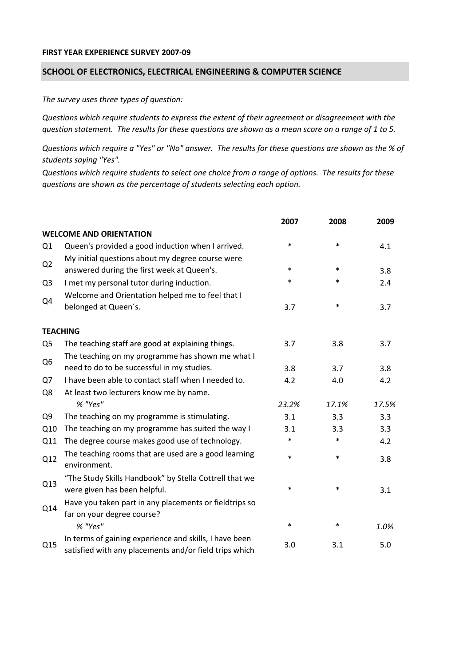## **FIRST YEAR EXPERIENCE SURVEY 2007‐09**

## **SCHOOL OF ELECTRONICS, ELECTRICAL ENGINEERING & COMPUTER SCIENCE**

*The survey uses three types of question:*

*Questions which require students to express the extent of their agreement or disagreement with the* question statement. The results for these questions are shown as a mean score on a range of 1 to 5.

Questions which require a "Yes" or "No" answer. The results for these questions are shown as the % of *students saying "Yes".*

Questions which require students to select one choice from a range of options. The results for these *questions are shown as the percentage of students selecting each option.*

|                |                                                                                                                  | 2007   | 2008   | 2009  |
|----------------|------------------------------------------------------------------------------------------------------------------|--------|--------|-------|
|                | <b>WELCOME AND ORIENTATION</b>                                                                                   |        |        |       |
| Q1             | Queen's provided a good induction when I arrived.                                                                | $\ast$ | $\ast$ | 4.1   |
| Q2             | My initial questions about my degree course were<br>answered during the first week at Queen's.                   | $\ast$ | $\ast$ | 3.8   |
| Q <sub>3</sub> | I met my personal tutor during induction.                                                                        | $\ast$ | $\ast$ | 2.4   |
| Q4             | Welcome and Orientation helped me to feel that I<br>belonged at Queen's.                                         | 3.7    | $\ast$ | 3.7   |
|                |                                                                                                                  |        |        |       |
|                | <b>TEACHING</b>                                                                                                  |        |        |       |
| Q <sub>5</sub> | The teaching staff are good at explaining things.                                                                | 3.7    | 3.8    | 3.7   |
| Q <sub>6</sub> | The teaching on my programme has shown me what I                                                                 |        |        |       |
|                | need to do to be successful in my studies.                                                                       | 3.8    | 3.7    | 3.8   |
| Q7             | I have been able to contact staff when I needed to.                                                              | 4.2    | 4.0    | 4.2   |
| Q8             | At least two lecturers know me by name.                                                                          |        |        |       |
|                | % "Yes"                                                                                                          | 23.2%  | 17.1%  | 17.5% |
| Q <sub>9</sub> | The teaching on my programme is stimulating.                                                                     | 3.1    | 3.3    | 3.3   |
| Q10            | The teaching on my programme has suited the way I                                                                | 3.1    | 3.3    | 3.3   |
| Q11            | The degree course makes good use of technology.                                                                  | $\ast$ | $\ast$ | 4.2   |
| Q12            | The teaching rooms that are used are a good learning<br>environment.                                             | $\ast$ | $\ast$ | 3.8   |
| Q13            | "The Study Skills Handbook" by Stella Cottrell that we<br>were given has been helpful.                           | $\ast$ | $\ast$ | 3.1   |
| Q14            | Have you taken part in any placements or fieldtrips so<br>far on your degree course?                             |        |        |       |
|                | % "Yes"                                                                                                          | $\ast$ | ∗      | 1.0%  |
| Q15            | In terms of gaining experience and skills, I have been<br>satisfied with any placements and/or field trips which | 3.0    | 3.1    | 5.0   |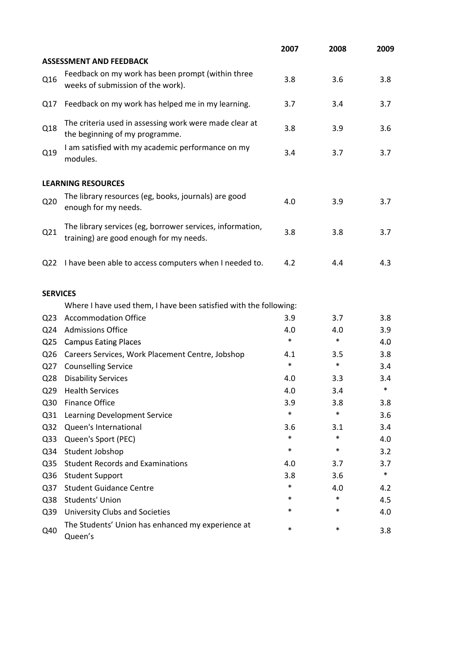|                 |                                                                                                      | 2007   | 2008   | 2009   |
|-----------------|------------------------------------------------------------------------------------------------------|--------|--------|--------|
|                 | <b>ASSESSMENT AND FEEDBACK</b>                                                                       |        |        |        |
| Q16             | Feedback on my work has been prompt (within three<br>weeks of submission of the work).               | 3.8    | 3.6    | 3.8    |
| Q17             | Feedback on my work has helped me in my learning.                                                    | 3.7    | 3.4    | 3.7    |
| Q18             | The criteria used in assessing work were made clear at<br>the beginning of my programme.             | 3.8    | 3.9    | 3.6    |
| Q19             | I am satisfied with my academic performance on my<br>modules.                                        | 3.4    | 3.7    | 3.7    |
|                 | <b>LEARNING RESOURCES</b>                                                                            |        |        |        |
| Q <sub>20</sub> | The library resources (eg, books, journals) are good<br>enough for my needs.                         | 4.0    | 3.9    | 3.7    |
| Q21             | The library services (eg, borrower services, information,<br>training) are good enough for my needs. | 3.8    | 3.8    | 3.7    |
| Q <sub>22</sub> | I have been able to access computers when I needed to.                                               | 4.2    | 4.4    | 4.3    |
| <b>SERVICES</b> |                                                                                                      |        |        |        |
|                 | Where I have used them, I have been satisfied with the following:                                    |        |        |        |
| Q <sub>23</sub> | <b>Accommodation Office</b>                                                                          | 3.9    | 3.7    | 3.8    |
| Q24             | <b>Admissions Office</b>                                                                             | 4.0    | 4.0    | 3.9    |
| Q <sub>25</sub> | <b>Campus Eating Places</b>                                                                          | $\ast$ | $\ast$ | 4.0    |
| Q <sub>26</sub> | Careers Services, Work Placement Centre, Jobshop                                                     | 4.1    | 3.5    | 3.8    |
| Q27             | <b>Counselling Service</b>                                                                           | $\ast$ | $\ast$ | 3.4    |
| Q <sub>28</sub> | <b>Disability Services</b>                                                                           | 4.0    | 3.3    | 3.4    |
| Q <sub>29</sub> | <b>Health Services</b>                                                                               | 4.0    | 3.4    | $\ast$ |
| Q30             | <b>Finance Office</b>                                                                                | 3.9    | 3.8    | 3.8    |
| Q <sub>31</sub> | Learning Development Service                                                                         | $\ast$ | $\ast$ | 3.6    |
| Q <sub>32</sub> | Queen's International                                                                                | 3.6    | 3.1    | 3.4    |
| Q <sub>33</sub> | Queen's Sport (PEC)                                                                                  | $\ast$ | $\ast$ | 4.0    |
| Q34             | Student Jobshop                                                                                      | $\ast$ | $\ast$ | 3.2    |
| Q <sub>35</sub> | <b>Student Records and Examinations</b>                                                              | 4.0    | 3.7    | 3.7    |
| Q36             | <b>Student Support</b>                                                                               | 3.8    | 3.6    | $\ast$ |
| Q <sub>37</sub> | <b>Student Guidance Centre</b>                                                                       | $\ast$ | 4.0    | 4.2    |
| Q38             | <b>Students' Union</b>                                                                               | *      | $\ast$ | 4.5    |
| Q39             | University Clubs and Societies                                                                       | *      | $\ast$ | 4.0    |
| Q40             | The Students' Union has enhanced my experience at<br>Queen's                                         | $\ast$ | $\ast$ | 3.8    |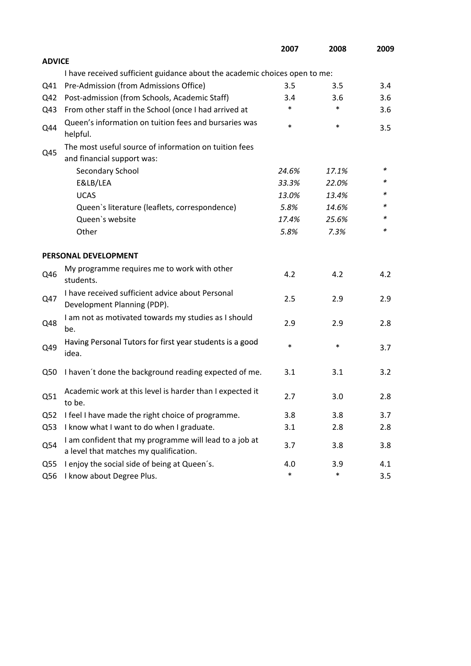|                 |                                                                                                  | 2007   | 2008   | 2009 |
|-----------------|--------------------------------------------------------------------------------------------------|--------|--------|------|
| <b>ADVICE</b>   |                                                                                                  |        |        |      |
|                 | I have received sufficient guidance about the academic choices open to me:                       |        |        |      |
| Q41             | Pre-Admission (from Admissions Office)                                                           | 3.5    | 3.5    | 3.4  |
| Q42             | Post-admission (from Schools, Academic Staff)                                                    | 3.4    | 3.6    | 3.6  |
| Q43             | From other staff in the School (once I had arrived at                                            | *      | $\ast$ | 3.6  |
| Q44             | Queen's information on tuition fees and bursaries was<br>helpful.                                | $\ast$ | $\ast$ | 3.5  |
|                 | The most useful source of information on tuition fees                                            |        |        |      |
| Q45             | and financial support was:                                                                       |        |        |      |
|                 | Secondary School                                                                                 | 24.6%  | 17.1%  | ∗    |
|                 | E&LB/LEA                                                                                         | 33.3%  | 22.0%  | *    |
|                 | <b>UCAS</b>                                                                                      | 13.0%  | 13.4%  |      |
|                 | Queen's literature (leaflets, correspondence)                                                    | 5.8%   | 14.6%  | *    |
|                 | Queen's website                                                                                  | 17.4%  | 25.6%  | *    |
|                 | Other                                                                                            | 5.8%   | 7.3%   | *    |
|                 | PERSONAL DEVELOPMENT                                                                             |        |        |      |
| Q46             | My programme requires me to work with other<br>students.                                         | 4.2    | 4.2    | 4.2  |
| Q47             | I have received sufficient advice about Personal<br>Development Planning (PDP).                  | 2.5    | 2.9    | 2.9  |
| Q48             | I am not as motivated towards my studies as I should<br>be.                                      | 2.9    | 2.9    | 2.8  |
| Q49             | Having Personal Tutors for first year students is a good<br>idea.                                | $\ast$ | $\ast$ | 3.7  |
| Q50             | I haven't done the background reading expected of me.                                            | 3.1    | 3.1    | 3.2  |
| Q51             | Academic work at this level is harder than I expected it<br>to be.                               | 2.7    | 3.0    | 2.8  |
| Q <sub>52</sub> | I feel I have made the right choice of programme.                                                | 3.8    | 3.8    | 3.7  |
| Q53             | I know what I want to do when I graduate.                                                        | 3.1    | 2.8    | 2.8  |
| Q54             | I am confident that my programme will lead to a job at<br>a level that matches my qualification. | 3.7    | 3.8    | 3.8  |
| Q55             | I enjoy the social side of being at Queen's.                                                     | 4.0    | 3.9    | 4.1  |
| Q56             | I know about Degree Plus.                                                                        | $\ast$ | $\ast$ | 3.5  |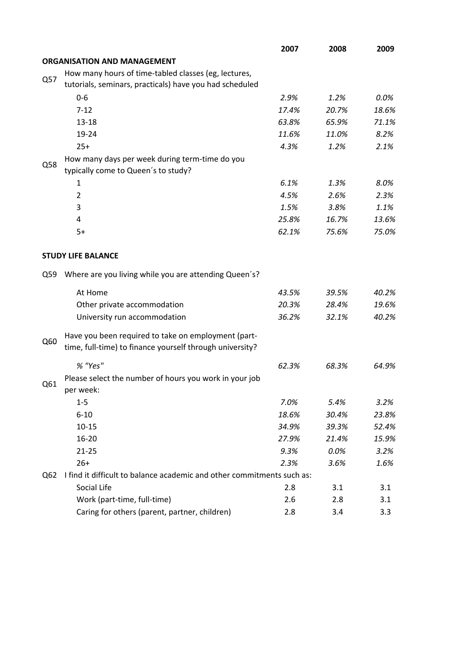|     |                                                                                                                 | 2007  | 2008  | 2009  |
|-----|-----------------------------------------------------------------------------------------------------------------|-------|-------|-------|
|     | <b>ORGANISATION AND MANAGEMENT</b>                                                                              |       |       |       |
|     | How many hours of time-tabled classes (eg, lectures,                                                            |       |       |       |
| Q57 | tutorials, seminars, practicals) have you had scheduled                                                         |       |       |       |
|     | $0 - 6$                                                                                                         | 2.9%  | 1.2%  | 0.0%  |
|     | $7 - 12$                                                                                                        | 17.4% | 20.7% | 18.6% |
|     | $13 - 18$                                                                                                       | 63.8% | 65.9% | 71.1% |
|     | 19-24                                                                                                           | 11.6% | 11.0% | 8.2%  |
|     | $25+$                                                                                                           | 4.3%  | 1.2%  | 2.1%  |
|     | How many days per week during term-time do you                                                                  |       |       |       |
| Q58 | typically come to Queen's to study?                                                                             |       |       |       |
|     | 1                                                                                                               | 6.1%  | 1.3%  | 8.0%  |
|     | $\overline{2}$                                                                                                  | 4.5%  | 2.6%  | 2.3%  |
|     | 3                                                                                                               | 1.5%  | 3.8%  | 1.1%  |
|     | 4                                                                                                               | 25.8% | 16.7% | 13.6% |
|     | $5+$                                                                                                            | 62.1% | 75.6% | 75.0% |
|     |                                                                                                                 |       |       |       |
|     | <b>STUDY LIFE BALANCE</b>                                                                                       |       |       |       |
| Q59 | Where are you living while you are attending Queen's?                                                           |       |       |       |
|     | At Home                                                                                                         | 43.5% | 39.5% | 40.2% |
|     | Other private accommodation                                                                                     | 20.3% | 28.4% | 19.6% |
|     | University run accommodation                                                                                    | 36.2% | 32.1% | 40.2% |
| Q60 | Have you been required to take on employment (part-<br>time, full-time) to finance yourself through university? |       |       |       |
|     |                                                                                                                 |       |       |       |
|     | % "Yes"                                                                                                         | 62.3% | 68.3% | 64.9% |
| Q61 | Please select the number of hours you work in your job<br>per week:                                             |       |       |       |
|     | $1-5$                                                                                                           | 7.0%  | 5.4%  | 3.2%  |
|     | $6 - 10$                                                                                                        | 18.6% | 30.4% | 23.8% |
|     | $10 - 15$                                                                                                       | 34.9% | 39.3% | 52.4% |
|     | 16-20                                                                                                           | 27.9% | 21.4% | 15.9% |
|     | $21 - 25$                                                                                                       | 9.3%  | 0.0%  | 3.2%  |
|     | $26+$                                                                                                           | 2.3%  | 3.6%  | 1.6%  |
| Q62 | I find it difficult to balance academic and other commitments such as:                                          |       |       |       |
|     | Social Life                                                                                                     | 2.8   | 3.1   | 3.1   |
|     | Work (part-time, full-time)                                                                                     | 2.6   | 2.8   | 3.1   |
|     | Caring for others (parent, partner, children)                                                                   | 2.8   | 3.4   | 3.3   |